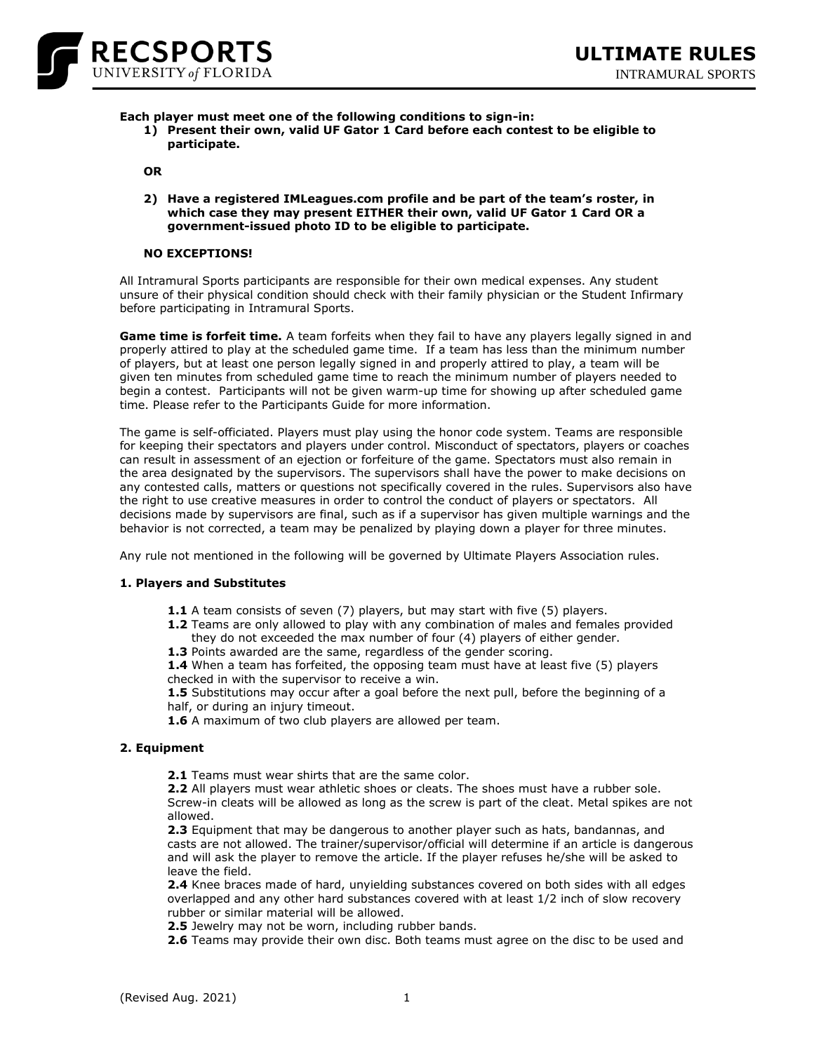

#### **Each player must meet one of the following conditions to sign-in:**

**1) Present their own, valid UF Gator 1 Card before each contest to be eligible to participate.**

**OR**

**2) Have a registered IMLeagues.com profile and be part of the team's roster, in which case they may present EITHER their own, valid UF Gator 1 Card OR a government-issued photo ID to be eligible to participate.**

#### **NO EXCEPTIONS!**

All Intramural Sports participants are responsible for their own medical expenses. Any student unsure of their physical condition should check with their family physician or the Student Infirmary before participating in Intramural Sports.

**Game time is forfeit time.** A team forfeits when they fail to have any players legally signed in and properly attired to play at the scheduled game time. If a team has less than the minimum number of players, but at least one person legally signed in and properly attired to play, a team will be given ten minutes from scheduled game time to reach the minimum number of players needed to begin a contest. Participants will not be given warm-up time for showing up after scheduled game time. Please refer to the Participants Guide for more information.

The game is self-officiated. Players must play using the honor code system. Teams are responsible for keeping their spectators and players under control. Misconduct of spectators, players or coaches can result in assessment of an ejection or forfeiture of the game. Spectators must also remain in the area designated by the supervisors. The supervisors shall have the power to make decisions on any contested calls, matters or questions not specifically covered in the rules. Supervisors also have the right to use creative measures in order to control the conduct of players or spectators. All decisions made by supervisors are final, such as if a supervisor has given multiple warnings and the behavior is not corrected, a team may be penalized by playing down a player for three minutes.

Any rule not mentioned in the following will be governed by Ultimate Players Association rules.

#### **1. Players and Substitutes**

- **1.1** A team consists of seven (7) players, but may start with five (5) players.
- **1.2** Teams are only allowed to play with any combination of males and females provided they do not exceeded the max number of four (4) players of either gender.
- **1.3** Points awarded are the same, regardless of the gender scoring.

**1.4** When a team has forfeited, the opposing team must have at least five (5) players checked in with the supervisor to receive a win.

**1.5** Substitutions may occur after a goal before the next pull, before the beginning of a half, or during an injury timeout.

**1.6** A maximum of two club players are allowed per team.

## **2. Equipment**

**2.1** Teams must wear shirts that are the same color.

**2.2** All players must wear athletic shoes or cleats. The shoes must have a rubber sole. Screw-in cleats will be allowed as long as the screw is part of the cleat. Metal spikes are not allowed.

**2.3** Equipment that may be dangerous to another player such as hats, bandannas, and casts are not allowed. The trainer/supervisor/official will determine if an article is dangerous and will ask the player to remove the article. If the player refuses he/she will be asked to leave the field.

**2.4** Knee braces made of hard, unyielding substances covered on both sides with all edges overlapped and any other hard substances covered with at least 1/2 inch of slow recovery rubber or similar material will be allowed.

**2.5** Jewelry may not be worn, including rubber bands.

**2.6** Teams may provide their own disc. Both teams must agree on the disc to be used and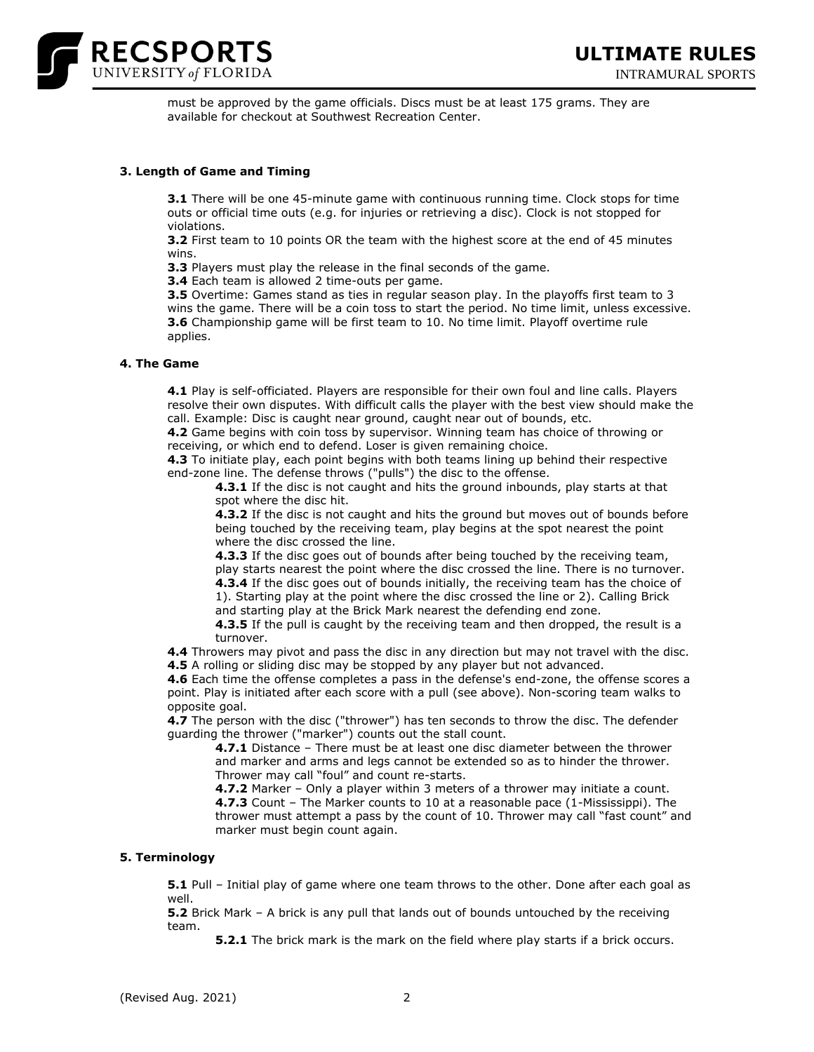

must be approved by the game officials. Discs must be at least 175 grams. They are available for checkout at Southwest Recreation Center.

## **3. Length of Game and Timing**

**3.1** There will be one 45-minute game with continuous running time. Clock stops for time outs or official time outs (e.g. for injuries or retrieving a disc). Clock is not stopped for violations.

**3.2** First team to 10 points OR the team with the highest score at the end of 45 minutes wins.

**3.3** Players must play the release in the final seconds of the game.

**3.4** Each team is allowed 2 time-outs per game.

**3.5** Overtime: Games stand as ties in regular season play. In the playoffs first team to 3 wins the game. There will be a coin toss to start the period. No time limit, unless excessive. **3.6** Championship game will be first team to 10. No time limit. Playoff overtime rule applies.

#### **4. The Game**

**4.1** Play is self-officiated. Players are responsible for their own foul and line calls. Players resolve their own disputes. With difficult calls the player with the best view should make the call. Example: Disc is caught near ground, caught near out of bounds, etc.

**4.2** Game begins with coin toss by supervisor. Winning team has choice of throwing or receiving, or which end to defend. Loser is given remaining choice.

**4.3** To initiate play, each point begins with both teams lining up behind their respective end-zone line. The defense throws ("pulls") the disc to the offense.

**4.3.1** If the disc is not caught and hits the ground inbounds, play starts at that spot where the disc hit.

**4.3.2** If the disc is not caught and hits the ground but moves out of bounds before being touched by the receiving team, play begins at the spot nearest the point where the disc crossed the line.

**4.3.3** If the disc goes out of bounds after being touched by the receiving team, play starts nearest the point where the disc crossed the line. There is no turnover. **4.3.4** If the disc goes out of bounds initially, the receiving team has the choice of 1). Starting play at the point where the disc crossed the line or 2). Calling Brick and starting play at the Brick Mark nearest the defending end zone.

**4.3.5** If the pull is caught by the receiving team and then dropped, the result is a turnover.

**4.4** Throwers may pivot and pass the disc in any direction but may not travel with the disc. **4.5** A rolling or sliding disc may be stopped by any player but not advanced.

**4.6** Each time the offense completes a pass in the defense's end-zone, the offense scores a point. Play is initiated after each score with a pull (see above). Non-scoring team walks to opposite goal.

**4.7** The person with the disc ("thrower") has ten seconds to throw the disc. The defender guarding the thrower ("marker") counts out the stall count.

**4.7.1** Distance – There must be at least one disc diameter between the thrower and marker and arms and legs cannot be extended so as to hinder the thrower. Thrower may call "foul" and count re-starts.

**4.7.2** Marker – Only a player within 3 meters of a thrower may initiate a count. **4.7.3** Count – The Marker counts to 10 at a reasonable pace (1-Mississippi). The thrower must attempt a pass by the count of 10. Thrower may call "fast count" and marker must begin count again.

## **5. Terminology**

**5.1** Pull – Initial play of game where one team throws to the other. Done after each goal as well.

**5.2** Brick Mark – A brick is any pull that lands out of bounds untouched by the receiving team.

**5.2.1** The brick mark is the mark on the field where play starts if a brick occurs.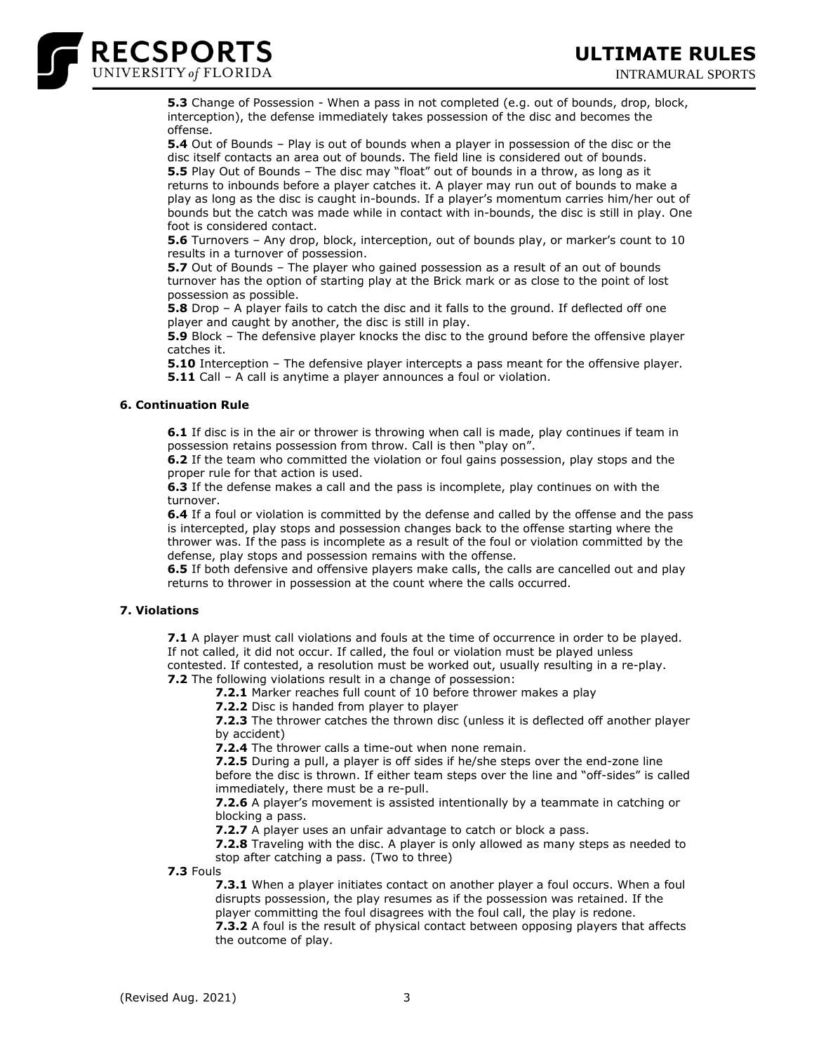

**5.3** Change of Possession - When a pass in not completed (e.g. out of bounds, drop, block, interception), the defense immediately takes possession of the disc and becomes the offense.

**5.4** Out of Bounds – Play is out of bounds when a player in possession of the disc or the disc itself contacts an area out of bounds. The field line is considered out of bounds. **5.5** Play Out of Bounds – The disc may "float" out of bounds in a throw, as long as it returns to inbounds before a player catches it. A player may run out of bounds to make a play as long as the disc is caught in-bounds. If a player's momentum carries him/her out of bounds but the catch was made while in contact with in-bounds, the disc is still in play. One foot is considered contact.

**5.6** Turnovers – Any drop, block, interception, out of bounds play, or marker's count to 10 results in a turnover of possession.

**5.7** Out of Bounds – The player who gained possession as a result of an out of bounds turnover has the option of starting play at the Brick mark or as close to the point of lost possession as possible.

**5.8** Drop – A player fails to catch the disc and it falls to the ground. If deflected off one player and caught by another, the disc is still in play.

**5.9** Block – The defensive player knocks the disc to the ground before the offensive player catches it.

**5.10** Interception – The defensive player intercepts a pass meant for the offensive player. **5.11** Call – A call is anytime a player announces a foul or violation.

# **6. Continuation Rule**

**6.1** If disc is in the air or thrower is throwing when call is made, play continues if team in possession retains possession from throw. Call is then "play on".

**6.2** If the team who committed the violation or foul gains possession, play stops and the proper rule for that action is used.

**6.3** If the defense makes a call and the pass is incomplete, play continues on with the turnover.

**6.4** If a foul or violation is committed by the defense and called by the offense and the pass is intercepted, play stops and possession changes back to the offense starting where the thrower was. If the pass is incomplete as a result of the foul or violation committed by the defense, play stops and possession remains with the offense.

**6.5** If both defensive and offensive players make calls, the calls are cancelled out and play returns to thrower in possession at the count where the calls occurred.

# **7. Violations**

**7.1** A player must call violations and fouls at the time of occurrence in order to be played. If not called, it did not occur. If called, the foul or violation must be played unless contested. If contested, a resolution must be worked out, usually resulting in a re-play.

**7.2** The following violations result in a change of possession:

**7.2.1** Marker reaches full count of 10 before thrower makes a play

**7.2.2** Disc is handed from player to player

**7.2.3** The thrower catches the thrown disc (unless it is deflected off another player by accident)

**7.2.4** The thrower calls a time-out when none remain.

**7.2.5** During a pull, a player is off sides if he/she steps over the end-zone line before the disc is thrown. If either team steps over the line and "off-sides" is called immediately, there must be a re-pull.

**7.2.6** A player's movement is assisted intentionally by a teammate in catching or blocking a pass.

**7.2.7** A player uses an unfair advantage to catch or block a pass.

**7.2.8** Traveling with the disc. A player is only allowed as many steps as needed to stop after catching a pass. (Two to three)

**7.3** Fouls

**7.3.1** When a player initiates contact on another player a foul occurs. When a foul disrupts possession, the play resumes as if the possession was retained. If the player committing the foul disagrees with the foul call, the play is redone. **7.3.2** A foul is the result of physical contact between opposing players that affects the outcome of play.